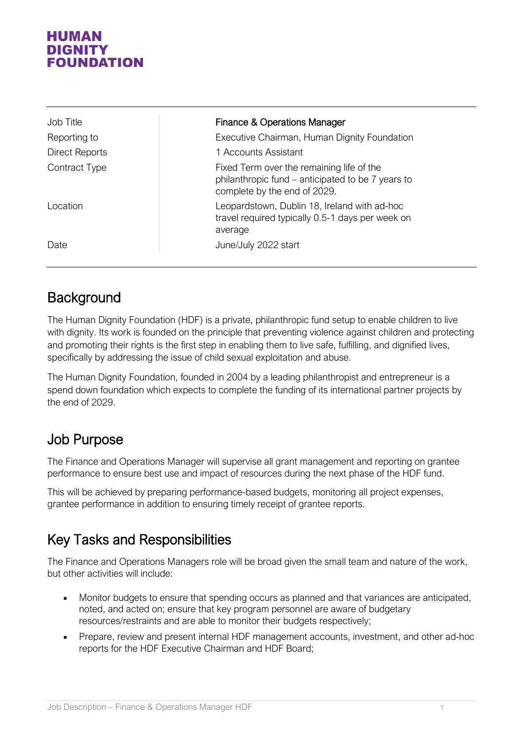#### HUMAN DIGNITY **FOUNDATION**

| Job Title      | <b>Finance &amp; Operations Manager</b>                                                                                        |
|----------------|--------------------------------------------------------------------------------------------------------------------------------|
| Reporting to   | Executive Chairman, Human Dignity Foundation                                                                                   |
| Direct Reports | 1 Accounts Assistant                                                                                                           |
| Contract Type  | Fixed Term over the remaining life of the<br>philanthropic fund – anticipated to be 7 years to<br>complete by the end of 2029. |
| Location       | Leopardstown, Dublin 18, Ireland with ad-hoc<br>travel required typically 0.5-1 days per week on<br>average                    |
| Date           | June/July 2022 start                                                                                                           |

# **Background**

The Human Dignity Foundation (HDF) is a private, philanthropic fund setup to enable children to live with dignity. Its work is founded on the principle that preventing violence against children and protecting and promoting their rights is the first step in enabling them to live safe, fulfilling, and dignified lives, specifically by addressing the issue of child sexual exploitation and abuse.

The Human Dignity Foundation, founded in 2004 by a leading philanthropist and entrepreneur is a spend down foundation which expects to complete the funding of its international partner projects by the end of 2029.

# Job Purpose

The Finance and Operations Manager will supervise all grant management and reporting on grantee performance to ensure best use and impact of resources during the next phase of the HDF fund.

This will be achieved by preparing performance-based budgets, monitoring all project expenses, grantee performance in addition to ensuring timely receipt of grantee reports.

# Key Tasks and Responsibilities

The Finance and Operations Managers role will be broad given the small team and nature of the work, but other activities will include:

- Monitor budgets to ensure that spending occurs as planned and that variances are anticipated, noted, and acted on; ensure that key program personnel are aware of budgetary resources/restraints and are able to monitor their budgets respectively;
- Prepare, review and present internal HDF management accounts, investment, and other ad-hoc reports for the HDF Executive Chairman and HDF Board;